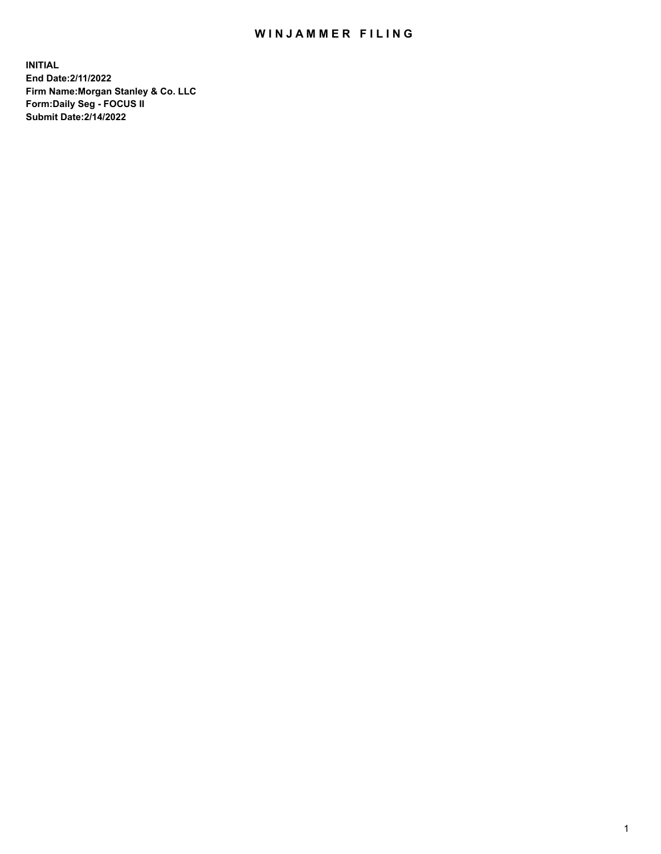## WIN JAMMER FILING

**INITIAL End Date:2/11/2022 Firm Name:Morgan Stanley & Co. LLC Form:Daily Seg - FOCUS II Submit Date:2/14/2022**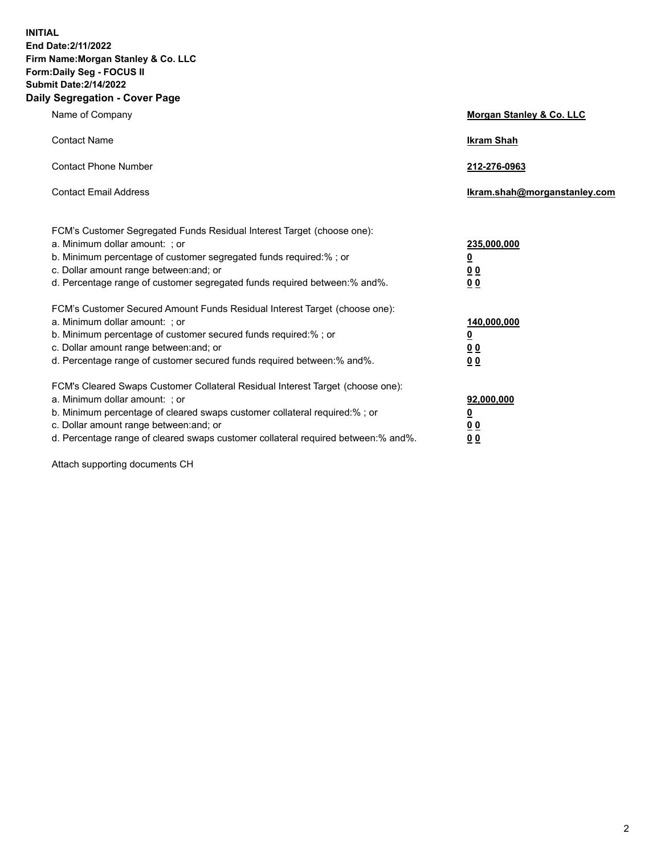**INITIAL End Date:2/11/2022 Firm Name:Morgan Stanley & Co. LLC Form:Daily Seg - FOCUS II Submit Date:2/14/2022 Daily Segregation - Cover Page**

| Name of Company                                                                                                                                                                                                                                                                                                                | Morgan Stanley & Co. LLC                                |
|--------------------------------------------------------------------------------------------------------------------------------------------------------------------------------------------------------------------------------------------------------------------------------------------------------------------------------|---------------------------------------------------------|
| <b>Contact Name</b>                                                                                                                                                                                                                                                                                                            | <b>Ikram Shah</b>                                       |
| <b>Contact Phone Number</b>                                                                                                                                                                                                                                                                                                    | 212-276-0963                                            |
| <b>Contact Email Address</b>                                                                                                                                                                                                                                                                                                   | Ikram.shah@morganstanley.com                            |
| FCM's Customer Segregated Funds Residual Interest Target (choose one):<br>a. Minimum dollar amount: ; or<br>b. Minimum percentage of customer segregated funds required:% ; or<br>c. Dollar amount range between: and; or<br>d. Percentage range of customer segregated funds required between:% and%.                         | 235,000,000<br><u>0</u><br><u>00</u><br><u>00</u>       |
| FCM's Customer Secured Amount Funds Residual Interest Target (choose one):<br>a. Minimum dollar amount: ; or<br>b. Minimum percentage of customer secured funds required:%; or<br>c. Dollar amount range between: and; or<br>d. Percentage range of customer secured funds required between:% and%.                            | 140,000,000<br><u>0</u><br><u>0 0</u><br>0 <sub>0</sub> |
| FCM's Cleared Swaps Customer Collateral Residual Interest Target (choose one):<br>a. Minimum dollar amount: ; or<br>b. Minimum percentage of cleared swaps customer collateral required:% ; or<br>c. Dollar amount range between: and; or<br>d. Percentage range of cleared swaps customer collateral required between:% and%. | 92,000,000<br><u>0</u><br><u>00</u><br>00               |

Attach supporting documents CH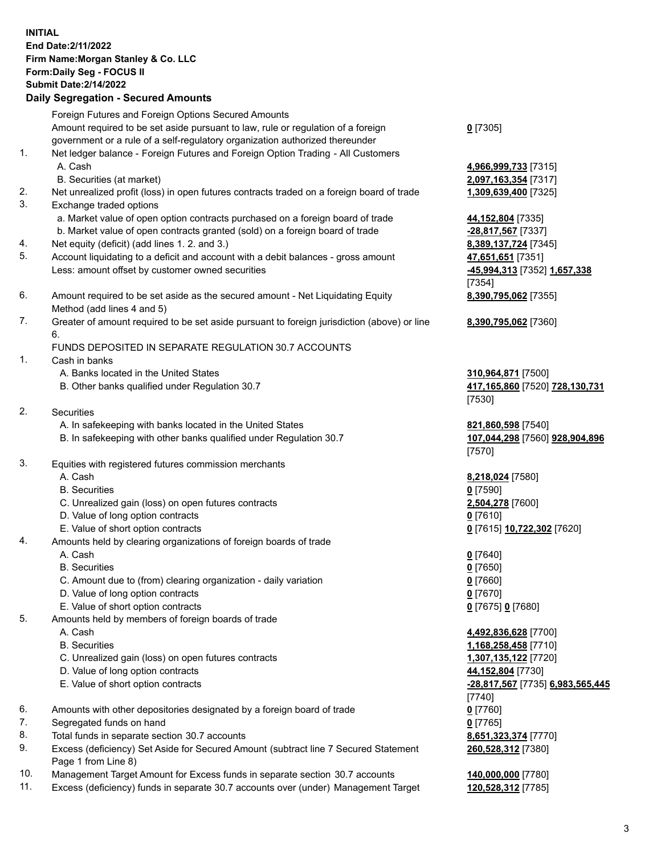## **INITIAL End Date:2/11/2022 Firm Name:Morgan Stanley & Co. LLC Form:Daily Seg - FOCUS II Submit Date:2/14/2022**

**Daily Segregation - Secured Amounts** Foreign Futures and Foreign Options Secured Amounts Amount required to be set aside pursuant to law, rule or regulation of a foreign government or a rule of a self-regulatory organization authorized thereunder 1. Net ledger balance - Foreign Futures and Foreign Option Trading - All Customers A. Cash **4,966,999,733** [7315] B. Securities (at market) **2,097,163,354** [7317] 2. Net unrealized profit (loss) in open futures contracts traded on a foreign board of trade **1,309,639,400** [7325] 3. Exchange traded options a. Market value of open option contracts purchased on a foreign board of trade **44,152,804** [7335] b. Market value of open contracts granted (sold) on a foreign board of trade **-28,817,567** [7337] 4. Net equity (deficit) (add lines 1. 2. and 3.) **8,389,137,724** [7345] 5. Account liquidating to a deficit and account with a debit balances - gross amount **47,651,651** [7351] Less: amount offset by customer owned securities **-45,994,313** [7352] **1,657,338** 6. Amount required to be set aside as the secured amount - Net Liquidating Equity Method (add lines 4 and 5) 7. Greater of amount required to be set aside pursuant to foreign jurisdiction (above) or line 6. FUNDS DEPOSITED IN SEPARATE REGULATION 30.7 ACCOUNTS 1. Cash in banks A. Banks located in the United States **310,964,871** [7500] B. Other banks qualified under Regulation 30.7 **417,165,860** [7520] **728,130,731** 2. Securities A. In safekeeping with banks located in the United States **821,860,598** [7540] B. In safekeeping with other banks qualified under Regulation 30.7 **107,044,298** [7560] **928,904,896** 3. Equities with registered futures commission merchants A. Cash **8,218,024** [7580] B. Securities **0** [7590] C. Unrealized gain (loss) on open futures contracts **2,504,278** [7600] D. Value of long option contracts **0** [7610] E. Value of short option contracts **0** [7615] **10,722,302** [7620] 4. Amounts held by clearing organizations of foreign boards of trade A. Cash **0** [7640] B. Securities **0** [7650] C. Amount due to (from) clearing organization - daily variation **0** [7660] D. Value of long option contracts **0** [7670] E. Value of short option contracts **0** [7675] **0** [7680] 5. Amounts held by members of foreign boards of trade A. Cash **4,492,836,628** [7700] B. Securities **1,168,258,458** [7710] C. Unrealized gain (loss) on open futures contracts **1,307,135,122** [7720] D. Value of long option contracts **44,152,804** [7730] E. Value of short option contracts **-28,817,567** [7735] **6,983,565,445**

- 6. Amounts with other depositories designated by a foreign board of trade **0** [7760]
- 7. Segregated funds on hand **0** [7765]
- 8. Total funds in separate section 30.7 accounts **8,651,323,374** [7770]
- 9. Excess (deficiency) Set Aside for Secured Amount (subtract line 7 Secured Statement Page 1 from Line 8)
- 10. Management Target Amount for Excess funds in separate section 30.7 accounts **140,000,000** [7780]
- 11. Excess (deficiency) funds in separate 30.7 accounts over (under) Management Target **120,528,312** [7785]

[7354] **8,390,795,062** [7355] **8,390,795,062** [7360]

**0** [7305]

[7530]

[7570]

[7740] **260,528,312** [7380]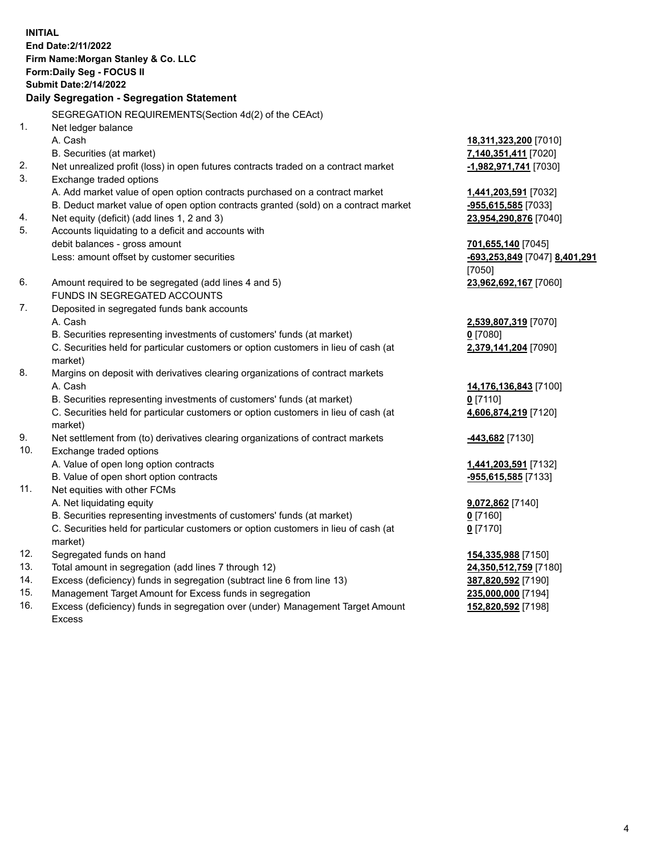**INITIAL End Date:2/11/2022 Firm Name:Morgan Stanley & Co. LLC Form:Daily Seg - FOCUS II Submit Date:2/14/2022 Daily Segregation - Segregation Statement** SEGREGATION REQUIREMENTS(Section 4d(2) of the CEAct) 1. Net ledger balance A. Cash **18,311,323,200** [7010] B. Securities (at market) **7,140,351,411** [7020] 2. Net unrealized profit (loss) in open futures contracts traded on a contract market **-1,982,971,741** [7030] 3. Exchange traded options A. Add market value of open option contracts purchased on a contract market **1,441,203,591** [7032] B. Deduct market value of open option contracts granted (sold) on a contract market **-955,615,585** [7033] 4. Net equity (deficit) (add lines 1, 2 and 3) **23,954,290,876** [7040] 5. Accounts liquidating to a deficit and accounts with debit balances - gross amount **701,655,140** [7045] Less: amount offset by customer securities **-693,253,849** [7047] **8,401,291** [7050] 6. Amount required to be segregated (add lines 4 and 5) **23,962,692,167** [7060] FUNDS IN SEGREGATED ACCOUNTS 7. Deposited in segregated funds bank accounts A. Cash **2,539,807,319** [7070] B. Securities representing investments of customers' funds (at market) **0** [7080] C. Securities held for particular customers or option customers in lieu of cash (at market) **2,379,141,204** [7090] 8. Margins on deposit with derivatives clearing organizations of contract markets A. Cash **14,176,136,843** [7100] B. Securities representing investments of customers' funds (at market) **0** [7110] C. Securities held for particular customers or option customers in lieu of cash (at market) **4,606,874,219** [7120] 9. Net settlement from (to) derivatives clearing organizations of contract markets **-443,682** [7130] 10. Exchange traded options A. Value of open long option contracts **1,441,203,591** [7132] B. Value of open short option contracts **-955,615,585** [7133] 11. Net equities with other FCMs A. Net liquidating equity **9,072,862** [7140] B. Securities representing investments of customers' funds (at market) **0** [7160] C. Securities held for particular customers or option customers in lieu of cash (at market) **0** [7170] 12. Segregated funds on hand **154,335,988** [7150] 13. Total amount in segregation (add lines 7 through 12) **24,350,512,759** [7180] 14. Excess (deficiency) funds in segregation (subtract line 6 from line 13) **387,820,592** [7190]

- 15. Management Target Amount for Excess funds in segregation **235,000,000** [7194]
- 16. Excess (deficiency) funds in segregation over (under) Management Target Amount Excess

**152,820,592** [7198]